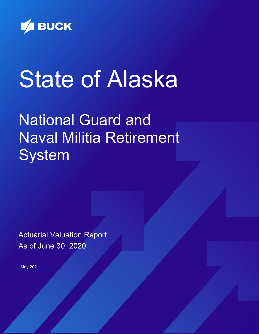

# State of Alaska

National Guard and Naval Militia Retirement **System** 

Actuarial Valuation Report As of June 30, 2020

May 2021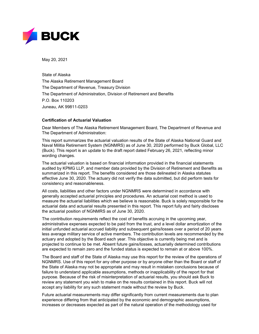

May 20, 2021

State of Alaska The Alaska Retirement Management Board The Department of Revenue, Treasury Division The Department of Administration, Division of Retirement and Benefits P.O. Box 110203 Juneau, AK 99811-0203

## **Certification of Actuarial Valuation**

Dear Members of The Alaska Retirement Management Board, The Department of Revenue and The Department of Administration:

This report summarizes the actuarial valuation results of the State of Alaska National Guard and Naval Militia Retirement System (NGNMRS) as of June 30, 2020 performed by Buck Global, LLC (Buck). This report is an update to the draft report dated February 26, 2021, reflecting minor wording changes.

The actuarial valuation is based on financial information provided in the financial statements audited by KPMG LLP, and member data provided by the Division of Retirement and Benefits as summarized in this report. The benefits considered are those delineated in Alaska statutes effective June 30, 2020. The actuary did not verify the data submitted, but did perform tests for consistency and reasonableness.

All costs, liabilities and other factors under NGNMRS were determined in accordance with generally accepted actuarial principles and procedures. An actuarial cost method is used to measure the actuarial liabilities which we believe is reasonable. Buck is solely responsible for the actuarial data and actuarial results presented in this report. This report fully and fairly discloses the actuarial position of NGNMRS as of June 30, 2020.

The contribution requirements reflect the cost of benefits accruing in the upcoming year, administrative expenses expected to be paid from the trust, and a level dollar amortization of the initial unfunded actuarial accrued liability and subsequent gains/losses over a period of 20 years less average military service of active members. The contribution levels are recommended by the actuary and adopted by the Board each year. This objective is currently being met and is projected to continue to be met. Absent future gains/losses, actuarially determined contributions are expected to remain zero and the funded status is expected to remain at or above 100%.

The Board and staff of the State of Alaska may use this report for the review of the operations of NGNMRS. Use of this report for any other purpose or by anyone other than the Board or staff of the State of Alaska may not be appropriate and may result in mistaken conclusions because of failure to understand applicable assumptions, methods or inapplicability of the report for that purpose. Because of the risk of misinterpretation of actuarial results, you should ask Buck to review any statement you wish to make on the results contained in this report. Buck will not accept any liability for any such statement made without the review by Buck.

Future actuarial measurements may differ significantly from current measurements due to plan experience differing from that anticipated by the economic and demographic assumptions, increases or decreases expected as part of the natural operation of the methodology used for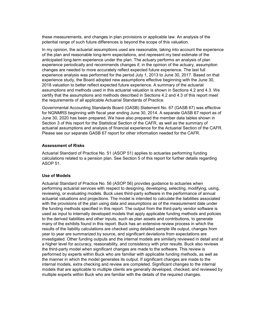these measurements, and changes in plan provisions or applicable law. An analysis of the potential range of such future differences is beyond the scope of this valuation.

In my opinion, the actuarial assumptions used are reasonable, taking into account the experience of the plan and reasonable long-term expectations, and represent my best estimate of the anticipated long-term experience under the plan. The actuary performs an analysis of plan experience periodically and recommends changes if, in the opinion of the actuary, assumption changes are needed to more accurately reflect expected future experience. The last full experience analysis was performed for the period July 1, 2013 to June 30, 2017. Based on that experience study, the Board adopted new assumptions effective beginning with the June 30, 2018 valuation to better reflect expected future experience. A summary of the actuarial assumptions and methods used in this actuarial valuation is shown in Sections 4.2 and 4.3. We certify that the assumptions and methods described in Sections 4.2 and 4.3 of this report meet the requirements of all applicable Actuarial Standards of Practice.

Governmental Accounting Standards Board (GASB) Statement No. 67 (GASB 67) was effective for NGNMRS beginning with fiscal year ending June 30, 2014. A separate GASB 67 report as of June 30, 2020 has been prepared. We have also prepared the member data tables shown in Section 3 of this report for the Statistical Section of the CAFR, as well as the summary of actuarial assumptions and analysis of financial experience for the Actuarial Section of the CAFR. Please see our separate GASB 67 report for other information needed for the CAFR.

#### **Assessment of Risks**

Actuarial Standard of Practice No. 51 (ASOP 51) applies to actuaries performing funding calculations related to a pension plan. See Section 5 of this report for further details regarding ASOP 51.

#### **Use of Models**

Actuarial Standard of Practice No. 56 (ASOP 56) provides guidance to actuaries when performing actuarial services with respect to designing, developing, selecting, modifying, using, reviewing, or evaluating models. Buck uses third-party software in the performance of annual actuarial valuations and projections. The model is intended to calculate the liabilities associated with the provisions of the plan using data and assumptions as of the measurement date under the funding methods specified in this report. The output from the third-party vendor software is used as input to internally developed models that apply applicable funding methods and policies to the derived liabilities and other inputs, such as plan assets and contributions, to generate many of the exhibits found in this report. Buck has an extensive review process in which the results of the liability calculations are checked using detailed sample life output, changes from year to year are summarized by source, and significant deviations from expectations are investigated. Other funding outputs and the internal models are similarly reviewed in detail and at a higher level for accuracy, reasonability, and consistency with prior results. Buck also reviews the third-party model when significant changes are made to the software. This review is performed by experts within Buck who are familiar with applicable funding methods, as well as the manner in which the model generates its output. If significant changes are made to the internal models, extra checking and review are completed. Significant changes to the internal models that are applicable to multiple clients are generally developed, checked, and reviewed by multiple experts within Buck who are familiar with the details of the required changes.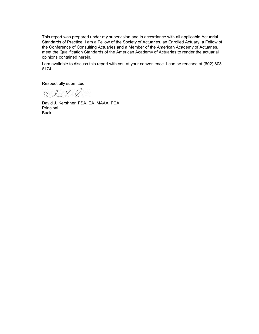This report was prepared under my supervision and in accordance with all applicable Actuarial Standards of Practice. I am a Fellow of the Society of Actuaries, an Enrolled Actuary, a Fellow of the Conference of Consulting Actuaries and a Member of the American Academy of Actuaries. I meet the Qualification Standards of the American Academy of Actuaries to render the actuarial opinions contained herein.

I am available to discuss this report with you at your convenience. I can be reached at (602) 803- 6174.

Respectfully submitted,

SCKR

David J. Kershner, FSA, EA, MAAA, FCA Principal Buck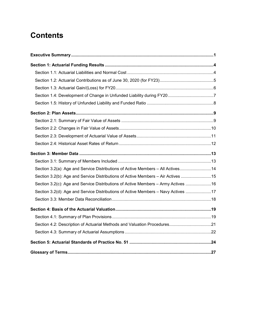# **Contents**

| Section 3.2(a): Age and Service Distributions of Active Members - All Actives14    |  |
|------------------------------------------------------------------------------------|--|
| Section 3.2(b): Age and Service Distributions of Active Members - Air Actives 15   |  |
| Section 3.2(c): Age and Service Distributions of Active Members - Army Actives  16 |  |
| Section 3.2(d): Age and Service Distributions of Active Members - Navy Actives 17  |  |
|                                                                                    |  |
|                                                                                    |  |
|                                                                                    |  |
| Section 4.2: Description of Actuarial Methods and Valuation Procedures21           |  |
|                                                                                    |  |
|                                                                                    |  |
|                                                                                    |  |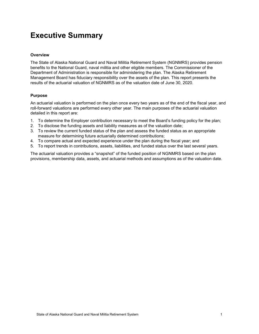# <span id="page-5-0"></span>**Executive Summary**

## **Overview**

The State of Alaska National Guard and Naval Militia Retirement System (NGNMRS) provides pension benefits to the National Guard, naval militia and other eligible members. The Commissioner of the Department of Administration is responsible for administering the plan. The Alaska Retirement Management Board has fiduciary responsibility over the assets of the plan. This report presents the results of the actuarial valuation of NGNMRS as of the valuation date of June 30, 2020.

## **Purpose**

An actuarial valuation is performed on the plan once every two years as of the end of the fiscal year, and roll-forward valuations are performed every other year. The main purposes of the actuarial valuation detailed in this report are:

- 1. To determine the Employer contribution necessary to meet the Board's funding policy for the plan;
- 2. To disclose the funding assets and liability measures as of the valuation date;
- 3. To review the current funded status of the plan and assess the funded status as an appropriate measure for determining future actuarially determined contributions;
- 4. To compare actual and expected experience under the plan during the fiscal year; and
- 5. To report trends in contributions, assets, liabilities, and funded status over the last several years.

The actuarial valuation provides a "snapshot" of the funded position of NGNMRS based on the plan provisions, membership data, assets, and actuarial methods and assumptions as of the valuation date.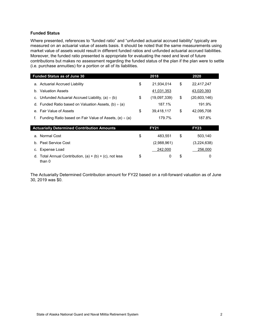## **Funded Status**

Where presented, references to "funded ratio" and "unfunded actuarial accrued liability" typically are measured on an actuarial value of assets basis. It should be noted that the same measurements using market value of assets would result in different funded ratios and unfunded actuarial accrued liabilities. Moreover, the funded ratio presented is appropriate for evaluating the need and level of future contributions but makes no assessment regarding the funded status of the plan if the plan were to settle (i.e. purchase annuities) for a portion or all of its liabilities.

|                | <b>Funded Status as of June 30</b>                                | 2018               | 2020               |
|----------------|-------------------------------------------------------------------|--------------------|--------------------|
|                | a. Actuarial Accrued Liability                                    | \$<br>21,934,014   | \$<br>22,417,247   |
| b <sub>1</sub> | <b>Valuation Assets</b>                                           | 41,031,353         | 43,020,393         |
| C.             | Unfunded Actuarial Accrued Liability, $(a) - (b)$                 | \$<br>(19,097,339) | \$<br>(20,603,146) |
|                | d. Funded Ratio based on Valuation Assets, $(b) \div (a)$         | 187.1%             | 191.9%             |
|                | e. Fair Value of Assets                                           | \$<br>39,418,117   | \$<br>42,095,708   |
| f.             | Funding Ratio based on Fair Value of Assets, $(e) \div (a)$       | 179.7%             | 187.8%             |
|                |                                                                   |                    |                    |
|                | <b>Actuarially Determined Contribution Amounts</b>                | <b>FY21</b>        | <b>FY23</b>        |
|                | a. Normal Cost                                                    | \$<br>483,551      | \$<br>503,140      |
| $b_{-}$        | Past Service Cost                                                 | (2,988,961)        | (3,224,638)        |
| C.             | Expense Load                                                      | 242,000            | 256,000            |
| d.             | Total Annual Contribution, $(a) + (b) + (c)$ , not less<br>than 0 | \$<br>0            | \$<br>0            |

The Actuarially Determined Contribution amount for FY22 based on a roll-forward valuation as of June 30, 2019 was \$0.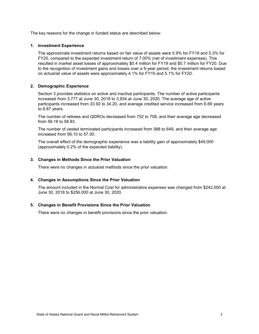The key reasons for the change in funded status are described below:

## **1. Investment Experience**

The approximate investment returns based on fair value of assets were 5.9% for FY19 and 5.3% for FY20, compared to the expected investment return of 7.00% (net of investment expenses). This resulted in market asset losses of approximately \$0.4 million for FY19 and \$0.7 million for FY20. Due to the recognition of investment gains and losses over a 5-year period, the investment returns based on actuarial value of assets were approximately 4.1% for FY19 and 5.1% for FY20.

## **2. Demographic Experience**

Section 3 provides statistics on active and inactive participants. The number of active participants increased from 3,777 at June 30, 2018 to 3,934 at June 30, 2020. The average age of active participants increased from 33.92 to 34.20, and average credited service increased from 6.69 years to 6.87 years.

The number of retirees and QDROs decreased from 752 to 708, and their average age decreased from 59.18 to 58.83.

The number of vested terminated participants increased from 588 to 649, and their average age increased from 56.10 to 57.00.

The overall effect of the demographic experience was a liability gain of approximately \$49,000 (approximately 0.2% of the expected liability).

#### **3. Changes in Methods Since the Prior Valuation**

There were no changes in actuarial methods since the prior valuation.

#### **4. Changes in Assumptions Since the Prior Valuation**

The amount included in the Normal Cost for administrative expenses was changed from \$242,000 at June 30, 2018 to \$256,000 at June 30, 2020.

#### **5. Changes in Benefit Provisions Since the Prior Valuation**

There were no changes in benefit provisions since the prior valuation.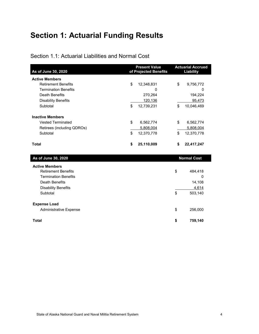# <span id="page-8-0"></span>**Section 1: Actuarial Funding Results**

## <span id="page-8-1"></span>Section 1.1: Actuarial Liabilities and Normal Cost

| As of June 30, 2020           | <b>Present Value</b><br>of Projected Benefits | <b>Actuarial Accrued</b><br><b>Liability</b> |
|-------------------------------|-----------------------------------------------|----------------------------------------------|
| <b>Active Members</b>         |                                               |                                              |
| <b>Retirement Benefits</b>    | \$<br>12,348,831                              | \$<br>9,756,772                              |
| <b>Termination Benefits</b>   | $\mathbf{0}$                                  | 0                                            |
| <b>Death Benefits</b>         | 270,264                                       | 194,224                                      |
| <b>Disability Benefits</b>    | 120,136                                       | 95,473                                       |
| Subtotal                      | \$<br>12,739,231                              | \$<br>10,046,469                             |
| <b>Inactive Members</b>       |                                               |                                              |
| <b>Vested Terminated</b>      | \$<br>6,562,774                               | \$<br>6,562,774                              |
| Retirees (including QDROs)    | 5,808,004                                     | 5,808,004                                    |
| Subtotal                      | \$<br>12,370,778                              | \$<br>12,370,778                             |
| <b>Total</b>                  | \$<br>25,110,009                              | \$<br>22,417,247                             |
| As of June 30, 2020           |                                               | <b>Normal Cost</b>                           |
| <b>Active Members</b>         |                                               |                                              |
| <b>Retirement Benefits</b>    |                                               | \$<br>484,418                                |
| <b>Termination Benefits</b>   |                                               | 0                                            |
| Death Benefits                |                                               | 14,108                                       |
| <b>Disability Benefits</b>    |                                               | 4,614                                        |
| Subtotal                      |                                               | \$<br>503,140                                |
| <b>Expense Load</b>           |                                               |                                              |
| <b>Administrative Expense</b> |                                               | \$<br>256,000                                |
| <b>Total</b>                  |                                               | \$<br>759,140                                |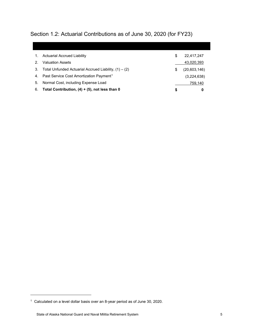<span id="page-9-0"></span>Section 1.2: Actuarial Contributions as of June 30, 2020 (for FY23)

|    | <b>Actuarial Accrued Liability</b>                      | S | 22,417,247   |
|----|---------------------------------------------------------|---|--------------|
|    | <b>Valuation Assets</b>                                 |   | 43,020,393   |
| 3. | Total Unfunded Actuarial Accrued Liability, $(1) - (2)$ | S | (20,603,146) |
|    | 4. Past Service Cost Amortization Payment <sup>1</sup>  |   | (3,224,638)  |
| 5. | Normal Cost, including Expense Load                     |   | 759,140      |
| 6. | Total Contribution, $(4) + (5)$ , not less than 0       | S | 0            |

-

<span id="page-9-1"></span><sup>1</sup> Calculated on a level dollar basis over an 8-year period as of June 30, 2020.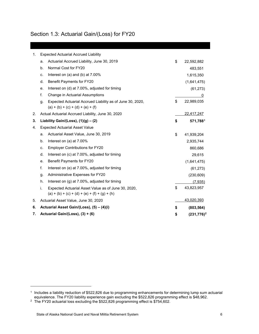## <span id="page-10-0"></span>Section 1.3: Actuarial Gain/(Loss) for FY20

| 1. |                                       | <b>Expected Actuarial Accrued Liability</b>                                                            |    |                |
|----|---------------------------------------|--------------------------------------------------------------------------------------------------------|----|----------------|
|    | a.                                    | Actuarial Accrued Liability, June 30, 2019                                                             | \$ | 22,592,882     |
|    | b.                                    | Normal Cost for FY20                                                                                   |    | 483,551        |
|    | C.                                    | Interest on $(a)$ and $(b)$ at $7.00\%$                                                                |    | 1,615,350      |
|    | d.                                    | Benefit Payments for FY20                                                                              |    | (1,641,475)    |
|    | e.                                    | Interest on (d) at 7.00%, adjusted for timing                                                          |    | (61, 273)      |
|    | f.                                    | Change in Actuarial Assumptions                                                                        |    | 0              |
|    | g.                                    | Expected Actuarial Accrued Liability as of June 30, 2020,<br>$(a) + (b) + (c) + (d) + (e) + (f)$       | \$ | 22,989,035     |
| 2. |                                       | Actual Actuarial Accrued Liability, June 30, 2020                                                      |    | 22,417,247     |
| 3. | Liability Gain/(Loss), $(1)(g) - (2)$ |                                                                                                        |    | 571,7881       |
| 4. |                                       | <b>Expected Actuarial Asset Value</b>                                                                  |    |                |
|    | a.                                    | Actuarial Asset Value, June 30, 2019                                                                   | \$ | 41,939,204     |
|    | b.                                    | Interest on (a) at 7.00%                                                                               |    | 2,935,744      |
|    | c.                                    | <b>Employer Contributions for FY20</b>                                                                 |    | 860,686        |
|    | d.                                    | Interest on (c) at 7.00%, adjusted for timing                                                          |    | 29,615         |
|    | e.                                    | Benefit Payments for FY20                                                                              |    | (1,641,475)    |
|    | f.                                    | Interest on (e) at 7.00%, adjusted for timing                                                          |    | (61, 273)      |
|    | g.                                    | Administrative Expenses for FY20                                                                       |    | (230, 609)     |
|    | h.                                    | Interest on (g) at 7.00%, adjusted for timing                                                          |    | (7,935)        |
|    | i.                                    | Expected Actuarial Asset Value as of June 30, 2020,<br>$(a) + (b) + (c) + (d) + (e) + (f) + (g) + (h)$ | \$ | 43,823,957     |
| 5. |                                       | Actuarial Asset Value, June 30, 2020                                                                   |    | 43,020,393     |
| 6. |                                       | Actuarial Asset Gain/(Loss), (5) - (4)(i)                                                              | \$ | (803, 564)     |
| 7. | Actuarial Gain/(Loss), (3) + (6)      |                                                                                                        |    | $(231, 776)^2$ |

j

<span id="page-10-1"></span><sup>1</sup> Includes a liability reduction of \$522,826 due to programming enhancements for determining lump sum actuarial equivalence. The FY20 liability experience gain excluding the \$522,826 programming effect is \$48,962.

<span id="page-10-2"></span> $^2$  The FY20 actuarial loss excluding the \$522,826 programming effect is \$754,602.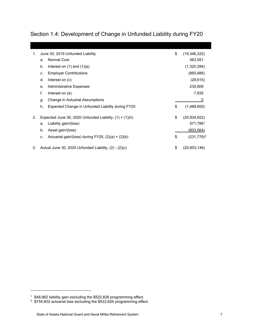<span id="page-11-0"></span>Section 1.4: Development of Change in Unfunded Liability during FY20

| 1. | June 30, 2019 Unfunded Liability                              | \$<br>(19, 346, 322) |
|----|---------------------------------------------------------------|----------------------|
|    | Normal Cost<br>a.                                             | 483,551              |
|    | b.<br>Interest on $(1)$ and $(1)(a)$                          | (1,320,394)          |
|    | <b>Employer Contributions</b><br>C.                           | (860, 686)           |
|    | d.<br>Interest on (c)                                         | (29, 615)            |
|    | <b>Administrative Expenses</b><br>е.                          | 230,609              |
|    | f.<br>Interest on (e)                                         | 7,935                |
|    | Change in Actuarial Assumptions<br>g.                         | 0                    |
|    | Expected Change in Unfunded Liability during FY20<br>h.       | \$<br>(1,488,600)    |
| 2. | Expected June 30, 2020 Unfunded Liability, $(1) + (1)(h)$     | \$<br>(20, 834, 922) |
|    | Liability gain/(loss)<br>a.                                   | 571,7881             |
|    | Asset gain/(loss)<br>b.                                       | (803, 564)           |
|    | Actuarial gain/(loss) during $FY20$ , $(2)(a) + (2)(b)$<br>C. | \$<br>$(231,776)^2$  |
| 3. | Actual June 30, 2020 Unfunded Liability, (2) - (2)(c)         | \$<br>(20,603,146)   |

-

<span id="page-11-1"></span> $^{\rm 1} \,$  \$48,962 liability gain excluding the \$522,826 programming effect.

<span id="page-11-2"></span> $2\;$  \$754,602 actuarial loss excluding the \$522,826 programming effect.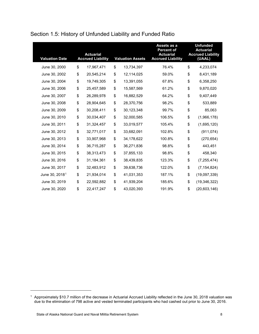| <b>Valuation Date</b>      | <b>Actuarial</b><br><b>Accrued Liability</b> | <b>Valuation Assets</b> | Assets as a<br><b>Percent of</b><br><b>Actuarial</b><br><b>Accrued Liability</b> | <b>Unfunded</b><br><b>Actuarial</b><br><b>Accrued Liability</b><br>(UAAL) |
|----------------------------|----------------------------------------------|-------------------------|----------------------------------------------------------------------------------|---------------------------------------------------------------------------|
| June 30, 2000              | \$<br>17,967,471                             | \$<br>13,734,397        | 76.4%                                                                            | \$<br>4,233,074                                                           |
| June 30, 2002              | \$<br>20,545,214                             | \$<br>12,114,025        | 59.0%                                                                            | \$<br>8,431,189                                                           |
| June 30, 2004              | \$<br>19,749,305                             | \$<br>13,391,055        | 67.8%                                                                            | \$<br>6,358,250                                                           |
| June 30, 2006              | \$<br>25,457,589                             | \$<br>15,587,569        | 61.2%                                                                            | \$<br>9,870,020                                                           |
| June 30, 2007              | \$<br>26,289,978                             | \$<br>16,882,529        | 64.2%                                                                            | \$<br>9,407,449                                                           |
| June 30, 2008              | \$<br>28,904,645                             | \$<br>28,370,756        | 98.2%                                                                            | \$<br>533,889                                                             |
| June 30, 2009              | \$<br>30,208,411                             | \$<br>30,123,348        | 99.7%                                                                            | \$<br>85,063                                                              |
| June 30, 2010              | \$<br>30,034,407                             | \$<br>32,000,585        | 106.5%                                                                           | \$<br>(1,966,178)                                                         |
| June 30, 2011              | \$<br>31,324,457                             | \$<br>33,019,577        | 105.4%                                                                           | \$<br>(1,695,120)                                                         |
| June 30, 2012              | \$<br>32,771,017                             | \$<br>33,682,091        | 102.8%                                                                           | \$<br>(911, 074)                                                          |
| June 30, 2013              | \$<br>33,907,968                             | \$<br>34,178,622        | 100.8%                                                                           | \$<br>(270, 654)                                                          |
| June 30, 2014              | \$<br>36,715,287                             | \$<br>36,271,836        | 98.8%                                                                            | \$<br>443,451                                                             |
| June 30, 2015              | \$<br>38,313,473                             | \$<br>37,855,133        | 98.8%                                                                            | \$<br>458,340                                                             |
| June 30, 2016              | \$<br>31,184,361                             | \$<br>38,439,835        | 123.3%                                                                           | \$<br>(7, 255, 474)                                                       |
| June 30, 2017              | \$<br>32,483,912                             | \$<br>39,638,736        | 122.0%                                                                           | \$<br>(7, 154, 824)                                                       |
| June 30, 2018 <sup>1</sup> | \$<br>21,934,014                             | \$<br>41,031,353        | 187.1%                                                                           | \$<br>(19,097,339)                                                        |
| June 30, 2019              | \$<br>22,592,882                             | \$<br>41,939,204        | 185.6%                                                                           | \$<br>(19, 346, 322)                                                      |
| June 30, 2020              | \$<br>22,417,247                             | \$<br>43,020,393        | 191.9%                                                                           | \$<br>(20, 603, 146)                                                      |

## <span id="page-12-0"></span>Section 1.5: History of Unfunded Liability and Funded Ratio

-

<span id="page-12-1"></span> $^{\rm 1}$  Approximately \$10.7 million of the decrease in Actuarial Accrued Liability reflected in the June 30, 2018 valuation was due to the elimination of 798 active and vested terminated participants who had cashed out prior to June 30, 2016.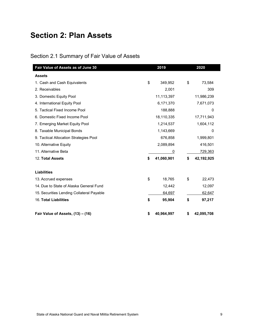# <span id="page-13-0"></span>**Section 2: Plan Assets**

## <span id="page-13-1"></span>Section 2.1 Summary of Fair Value of Assets

| Fair Value of Assets as of June 30        | 2019             | 2020             |
|-------------------------------------------|------------------|------------------|
| <b>Assets</b>                             |                  |                  |
| 1. Cash and Cash Equivalents              | \$<br>349,952    | \$<br>73,584     |
| 2. Receivables                            | 2,001            | 309              |
| 3. Domestic Equity Pool                   | 11,113,397       | 11,986,239       |
| 4. International Equity Pool              | 6,171,370        | 7,671,073        |
| 5. Tactical Fixed Income Pool             | 188,888          | 0                |
| 6. Domestic Fixed Income Pool             | 18,110,335       | 17,711,943       |
| 7. Emerging Market Equity Pool            | 1,214,537        | 1,604,112        |
| 8. Taxable Municipal Bonds                | 1,143,669        | 0                |
| 9. Tactical Allocation Strategies Pool    | 676,858          | 1,999,801        |
| 10. Alternative Equity                    | 2,089,894        | 416,501          |
| 11. Alternative Beta                      | 0                | <u>729,363</u>   |
| 12. Total Assets                          | \$<br>41,060,901 | \$<br>42,192,925 |
| <b>Liabilities</b>                        |                  |                  |
| 13. Accrued expenses                      | \$<br>18,765     | \$<br>22,473     |
| 14. Due to State of Alaska General Fund   | 12,442           | 12,097           |
| 15. Securities Lending Collateral Payable | 64,697           | 62,647           |
| 16. Total Liabilities                     | \$<br>95,904     | \$<br>97,217     |
| Fair Value of Assets, (13) - (16)         | \$<br>40,964,997 | \$<br>42,095,708 |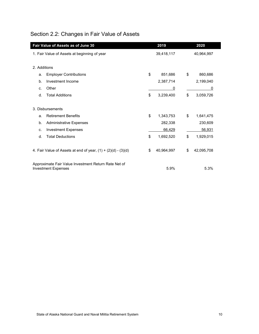|                                                                                            | Fair Value of Assets as of June 30           |    | 2019       |    | 2020       |
|--------------------------------------------------------------------------------------------|----------------------------------------------|----|------------|----|------------|
|                                                                                            | 1. Fair Value of Assets at beginning of year |    | 39,418,117 |    | 40,964,997 |
|                                                                                            |                                              |    |            |    |            |
| 2. Additions                                                                               |                                              |    |            |    |            |
| a.                                                                                         | <b>Employer Contributions</b>                | \$ | 851,686    | \$ | 860,686    |
| b.                                                                                         | Investment Income                            |    | 2,387,714  |    | 2,199,040  |
| C.                                                                                         | Other                                        |    | 0          |    | 0          |
| d.                                                                                         | <b>Total Additions</b>                       | \$ | 3,239,400  | \$ | 3,059,726  |
| 3. Disbursements                                                                           |                                              |    |            |    |            |
|                                                                                            |                                              |    |            |    |            |
| a.                                                                                         | <b>Retirement Benefits</b>                   | \$ | 1,343,753  | \$ | 1,641,475  |
| b.                                                                                         | <b>Administrative Expenses</b>               |    | 282,338    |    | 230,609    |
| C.                                                                                         | <b>Investment Expenses</b>                   |    | 66,429     |    | 56,931     |
| d.                                                                                         | <b>Total Deductions</b>                      | \$ | 1,692,520  | \$ | 1,929,015  |
| 4. Fair Value of Assets at end of year, $(1) + (2)(d) - (3)(d)$                            |                                              | \$ | 40,964,997 | \$ | 42,095,708 |
| Approximate Fair Value Investment Return Rate Net of<br><b>Investment Expenses</b><br>5.9% |                                              |    |            |    | 5.3%       |

# <span id="page-14-0"></span>Section 2.2: Changes in Fair Value of Assets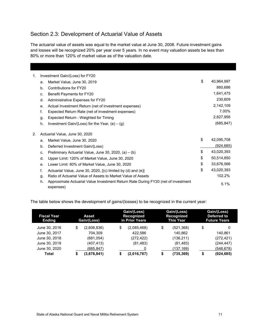## <span id="page-15-0"></span>Section 2.3: Development of Actuarial Value of Assets

The actuarial value of assets was equal to the market value at June 30, 2006. Future investment gains and losses will be recognized 20% per year over 5 years. In no event may valuation assets be less than 80% or more than 120% of market value as of the valuation date.

| 1. |    | Investment Gain/(Loss) for FY20                                                                |                  |
|----|----|------------------------------------------------------------------------------------------------|------------------|
|    | a. | Market Value, June 30, 2019                                                                    | \$<br>40,964,997 |
|    | b. | Contributions for FY20                                                                         | 860,686          |
|    | C. | <b>Benefit Payments for FY20</b>                                                               | 1,641,475        |
|    | d. | Administrative Expenses for FY20                                                               | 230,609          |
|    | е. | Actual Investment Return (net of investment expenses)                                          | 2,142,109        |
|    | f. | Expected Return Rate (net of investment expenses)                                              | 7.00%            |
|    | g. | Expected Return - Weighted for Timing                                                          | 2,827,956        |
|    | h. | Investment Gain/(Loss) for the Year, $(e) - (g)$                                               | (685, 847)       |
| 2. |    | Actuarial Value, June 30, 2020                                                                 |                  |
|    | a. | Market Value, June 30, 2020                                                                    | \$<br>42,095,708 |
|    | b. | Deferred Investment Gain/(Loss)                                                                | <u>(924,685)</u> |
|    | C. | Preliminary Actuarial Value, June 30, 2020, (a) - (b)                                          | \$<br>43,020,393 |
|    | d. | Upper Limit: 120% of Market Value, June 30, 2020                                               | \$<br>50,514,850 |
|    | е. | Lower Limit: 80% of Market Value, June 30, 2020                                                | \$<br>33,676,566 |
|    | f. | Actuarial Value, June 30, 2020, $\left[\right( c\right)$ limited by (d) and (e)                | \$<br>43,020,393 |
|    | g. | Ratio of Actuarial Value of Assets to Market Value of Assets                                   | 102.2%           |
|    | h. | Approximate Actuarial Value Investment Return Rate During FY20 (net of investment<br>expenses) | 5.1%             |

The table below shows the development of gains/(losses) to be recognized in the current year:

| Fiscal Year<br><b>Ending</b> | Asset<br>Gain/(Loss) | Gain/(Loss)<br>Recognized<br>in Prior Years | Gain/(Loss)<br><b>Recognized</b><br><b>This Year</b> | Gain/(Loss)<br>Deferred to<br><b>Future Years</b> |
|------------------------------|----------------------|---------------------------------------------|------------------------------------------------------|---------------------------------------------------|
| June 30, 2016                | \$<br>(2,606,836)    | \$<br>(2,085,468)                           | \$<br>(521,368)                                      | \$<br>0                                           |
| June 30, 2017                | 704.309              | 422,586                                     | 140.862                                              | 140.861                                           |
| June 30, 2018                | (681,054)            | (272, 422)                                  | (136,211)                                            | (272, 421)                                        |
| June 30, 2019                | (407, 413)           | (81, 483)                                   | (81, 483)                                            | (244, 447)                                        |
| June 30, 2020                | (685,847)            |                                             | (137,169)                                            | (548, 678)                                        |
| Total                        | (3,676,841)<br>S     | (2,016,787)<br>S                            | \$<br>(735,369)                                      | (924, 685)<br>S                                   |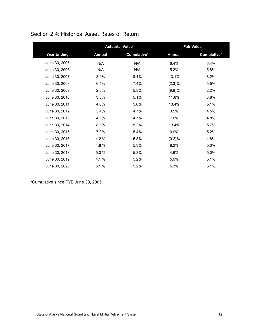|                    |               | <b>Actuarial Value</b> |               | <b>Fair Value</b> |
|--------------------|---------------|------------------------|---------------|-------------------|
| <b>Year Ending</b> | <b>Annual</b> | Cumulative*            | <b>Annual</b> | Cumulative*       |
| June 30, 2005      | N/A           | N/A                    | 6.4%          | 6.4%              |
| June 30, 2006      | N/A           | N/A                    | 5.2%          | 5.8%              |
| June 30, 2007      | 8.4%          | 8.4%                   | 13.1%         | 8.2%              |
| June 30, 2008      | 6.4%          | 7.4%                   | $(2.3)\%$     | 5.5%              |
| June 30, 2009      | 2.8%          | 5.8%                   | (9.8)%        | 2.2%              |
| June 30, 2010      | 3.0%          | 5.1%                   | 11.8%         | 3.8%              |
| June 30, 2011      | 4.6%          | 5.0%                   | 13.4%         | 5.1%              |
| June 30, 2012      | 3.4%          | 4.7%                   | 0.5%          | 4.5%              |
| June 30, 2013      | 4.6%          | 4.7%                   | 7.6%          | 4.8%              |
| June 30, 2014      | 8.8%          | 5.2%                   | 13.4%         | 5.7%              |
| June 30, 2015      | 7.0%          | 5.4%                   | 0.9%          | 5.2%              |
| June 30, 2016      | 4.2 %         | 5.3%                   | (0.2)%        | 4.8%              |
| June 30, 2017      | 4.8%          | 5.3%                   | 8.2%          | 5.0%              |
| June 30, 2018      | 5.3 %         | 5.3%                   | 4.6%          | 5.0%              |
| June 30, 2019      | 4.1 %         | 5.2%                   | 5.9%          | 5.1%              |
| June 30, 2020      | 5.1%          | 5.2%                   | 5.3%          | 5.1%              |

## <span id="page-16-0"></span>Section 2.4: Historical Asset Rates of Return

\*Cumulative since FYE June 30, 2005.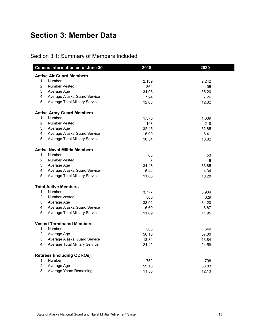# <span id="page-17-0"></span>**Section 3: Member Data**

## <span id="page-17-1"></span>Section 3.1: Summary of Members Included

|                | <b>Census Information as of June 30</b> | 2018  | 2020  |
|----------------|-----------------------------------------|-------|-------|
|                | <b>Active Air Guard Members</b>         |       |       |
| 1.             | Number                                  | 2,139 | 2,242 |
| $2^{\circ}$    | <b>Number Vested</b>                    | 364   | 405   |
|                | 3. Average Age                          | 34.98 | 35.20 |
|                | 4. Average Alaska Guard Service         | 7.24  | 7.26  |
|                | 5. Average Total Military Service       | 12.68 | 12.82 |
|                | <b>Active Army Guard Members</b>        |       |       |
| 1.             | Number                                  | 1,575 | 1,639 |
| 2.             | <b>Number Vested</b>                    | 193   | 218   |
|                | 3. Average Age                          | 32.45 | 32.85 |
|                | 4. Average Alaska Guard Service         | 6.00  | 6.41  |
|                | 5. Average Total Military Service       | 10.34 | 10.82 |
|                | <b>Active Naval Militia Members</b>     |       |       |
|                | 1. Number                               | 63    | 53    |
| 2.             | <b>Number Vested</b>                    | 8     | 6     |
|                | 3. Average Age                          | 34.48 | 33.85 |
|                | 4. Average Alaska Guard Service         | 5.44  | 4.34  |
|                | 5. Average Total Military Service       | 11.86 | 10.28 |
|                | <b>Total Active Members</b>             |       |       |
|                | 1. Number                               | 3,777 | 3,934 |
| 2.             | <b>Number Vested</b>                    | 565   | 629   |
|                | 3. Average Age                          | 33.92 | 34.20 |
|                | 4. Average Alaska Guard Service         | 6.69  | 6.87  |
|                | 5. Average Total Military Service       | 11.69 | 11.95 |
|                | <b>Vested Terminated Members</b>        |       |       |
|                | 1. Number                               | 588   | 649   |
|                | 2. Average Age                          | 56.10 | 57.00 |
|                | 3. Average Alaska Guard Service         | 13.84 | 13.84 |
|                | 4. Average Total Military Service       | 24.42 | 24.58 |
|                | <b>Retirees (including QDROs)</b>       |       |       |
| 1.             | Number                                  | 752   | 708   |
| 2 <sub>1</sub> | Average Age                             | 59.18 | 58.83 |
| 3.             | <b>Average Years Remaining</b>          | 11.53 | 12.13 |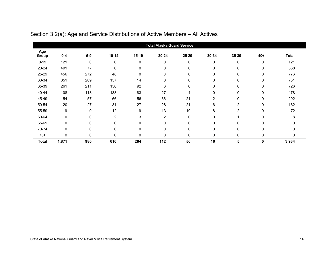<span id="page-18-0"></span>

|              |             |       |                |              | <b>Total Alaska Guard Service</b> |       |                |             |       |              |
|--------------|-------------|-------|----------------|--------------|-----------------------------------|-------|----------------|-------------|-------|--------------|
| Age<br>Group | $0-4$       | $5-9$ | $10 - 14$      | $15-19$      | 20-24                             | 25-29 | 30-34          | 35-39       | $40+$ | <b>Total</b> |
| $0 - 19$     | 121         | 0     | $\mathbf 0$    | $\mathbf{0}$ | $\mathbf 0$                       | 0     | $\mathbf 0$    | $\mathbf 0$ | 0     | 121          |
| 20-24        | 491         | 77    | 0              | 0            | 0                                 | 0     | $\mathbf 0$    | 0           | 0     | 568          |
| 25-29        | 456         | 272   | 48             | 0            | 0                                 | 0     | 0              | 0           | 0     | 776          |
| 30-34        | 351         | 209   | 157            | 14           | 0                                 | 0     | 0              | $\mathbf 0$ | 0     | 731          |
| 35-39        | 261         | 211   | 156            | 92           | 6                                 | 0     | 0              | 0           | 0     | 726          |
| 40-44        | 108         | 118   | 138            | 83           | 27                                | 4     | $\mathbf{0}$   | 0           | 0     | 478          |
| 45-49        | 54          | 57    | 66             | 56           | 36                                | 21    | $\overline{2}$ | 0           | 0     | 292          |
| 50-54        | 20          | 27    | 31             | 27           | 28                                | 21    | 6              | 2           | 0     | 162          |
| 55-59        | 9           | 9     | 12             | 9            | 13                                | 10    | 8              | 2           | 0     | 72           |
| 60-64        | $\Omega$    | 0     | $\overline{c}$ | 3            | $\overline{c}$                    | 0     | $\mathbf{0}$   |             | 0     | 8            |
| 65-69        | $\Omega$    | 0     | $\mathbf{0}$   | $\Omega$     | 0                                 | 0     | $\Omega$       | 0           | 0     |              |
| 70-74        | $\mathbf 0$ | 0     | 0              | 0            | 0                                 | 0     | 0              | 0           | 0     | 0            |
| $75+$        | $\Omega$    | 0     | $\Omega$       | $\Omega$     | $\Omega$                          | 0     | $\mathbf{0}$   | 0           | 0     | $\Omega$     |
| <b>Total</b> | 1,871       | 980   | 610            | 284          | 112                               | 56    | 16             | 5           | 0     | 3,934        |

# Section 3.2(a): Age and Service Distributions of Active Members – All Actives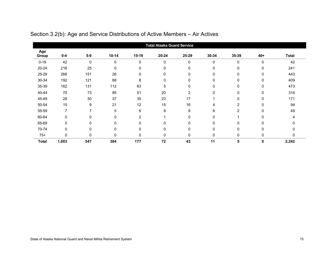<span id="page-19-0"></span>

|              | <b>Total Alaska Guard Service</b> |             |             |              |             |       |              |                |       |       |
|--------------|-----------------------------------|-------------|-------------|--------------|-------------|-------|--------------|----------------|-------|-------|
| Age<br>Group | $0 - 4$                           | $5-9$       | $10 - 14$   | 15-19        | 20-24       | 25-29 | 30-34        | 35-39          | $40+$ | Total |
| $0 - 19$     | 42                                | $\mathbf 0$ | $\mathbf 0$ | $\mathbf{0}$ | $\mathbf 0$ | 0     | $\mathbf 0$  | $\mathbf 0$    | 0     | 42    |
| 20-24        | 216                               | 25          | 0           | 0            | 0           | 0     | 0            | 0              | 0     | 241   |
| 25-29        | 266                               | 151         | 26          | $\Omega$     | 0           | 0     | $\mathbf 0$  | $\mathbf 0$    | 0     | 443   |
| 30-34        | 192                               | 121         | 88          | 8            | 0           | 0     | $\mathbf 0$  | 0              | 0     | 409   |
| 35-39        | 162                               | 131         | 112         | 63           | 5           | 0     | $\mathbf{0}$ | 0              | 0     | 473   |
| 40-44        | 75                                | 73          | 95          | 51           | 20          | 2     | 0            | $\Omega$       | 0     | 316   |
| 45-49        | 28                                | 30          | 37          | 35           | 23          | 17    |              | 0              | 0     | 171   |
| 50-54        | 15                                | 9           | 21          | 12           | 15          | 16    | 4            | 2              | 0     | 94    |
| 55-59        | 7                                 | 7           | 5           | 6            | 8           | 8     | 6            | 2              | 0     | 49    |
| 60-64        | $\Omega$                          | 0           | $\Omega$    | 2            |             | 0     | $\Omega$     |                | 0     |       |
| 65-69        | $\Omega$                          | 0           | 0           | $\Omega$     | 0           | 0     | $\mathbf{0}$ | 0              | 0     |       |
| 70-74        | 0                                 | 0           | 0           | 0            | 0           | 0     | 0            | 0              | 0     |       |
| $75+$        | $\Omega$                          | 0           | 0           | $\Omega$     | 0           | 0     | $\mathbf{0}$ | $\mathbf 0$    | 0     | 0     |
| <b>Total</b> | 1,003                             | 547         | 384         | 177          | 72          | 43    | 11           | $5\phantom{a}$ | 0     | 2,242 |

# Section 3.2(b): Age and Service Distributions of Active Members – Air Actives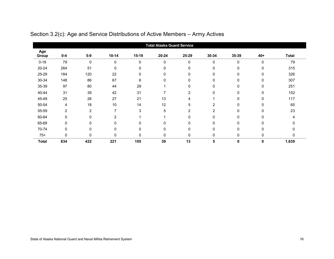<span id="page-20-0"></span>

|              | <b>Total Alaska Guard Service</b> |                |                |              |             |                |                |             |       |       |
|--------------|-----------------------------------|----------------|----------------|--------------|-------------|----------------|----------------|-------------|-------|-------|
| Age<br>Group | $0 - 4$                           | $5-9$          | $10 - 14$      | 15-19        | 20-24       | 25-29          | 30-34          | 35-39       | $40+$ | Total |
| $0 - 19$     | 79                                | $\mathbf 0$    | $\mathbf{0}$   | $\mathbf{0}$ | $\mathbf 0$ | 0              | $\Omega$       | $\mathbf 0$ | 0     | 79    |
| 20-24        | 264                               | 51             | $\mathbf 0$    | $\mathbf{0}$ | 0           | 0              | $\mathbf 0$    | 0           | 0     | 315   |
| 25-29        | 184                               | 120            | 22             | 0            | 0           | 0              | 0              | 0           | 0     | 326   |
| 30-34        | 148                               | 86             | 67             | 6            | 0           | 0              | $\mathbf{0}$   | 0           | 0     | 307   |
| 35-39        | 97                                | 80             | 44             | 29           |             | 0              | $\mathbf{0}$   | 0           | 0     | 251   |
| 40-44        | 31                                | 39             | 42             | 31           |             | $\overline{2}$ | 0              | $\Omega$    | 0     | 152   |
| 45-49        | 25                                | 26             | 27             | 21           | 13          | 4              |                | 0           | 0     | 117   |
| 50-54        | 4                                 | 18             | 10             | 14           | 12          | 5              | 2              | 0           | 0     | 65    |
| 55-59        | $\overline{2}$                    | $\overline{c}$ | ⇁              | 3            | 5           | $\overline{2}$ | $\overline{2}$ | $\Omega$    | 0     | 23    |
| 60-64        | $\Omega$                          | 0              | $\overline{2}$ |              |             | 0              | 0              | 0           | 0     |       |
| 65-69        | $\Omega$                          | 0              | $\Omega$       | O            | 0           | 0              | 0              | $\Omega$    | U     |       |
| 70-74        | $\mathbf 0$                       | 0              | 0              | $\mathbf{0}$ | 0           | 0              | 0              | 0           | 0     |       |
| $75+$        | $\Omega$                          | 0              | $\Omega$       | $\Omega$     | 0           | 0              | $\Omega$       | 0           | 0     | 0     |
| <b>Total</b> | 834                               | 422            | 221            | 105          | 39          | 13             | 5              | 0           | 0     | 1,639 |

# Section 3.2(c): Age and Service Distributions of Active Members – Army Actives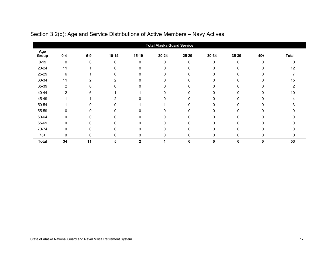<span id="page-21-0"></span>

|              | <b>Total Alaska Guard Service</b> |              |           |              |              |       |              |              |       |              |
|--------------|-----------------------------------|--------------|-----------|--------------|--------------|-------|--------------|--------------|-------|--------------|
| Age<br>Group | $0-4$                             | $5-9$        | $10 - 14$ | $15-19$      | $20 - 24$    | 25-29 | 30-34        | 35-39        | $40+$ | <b>Total</b> |
| $0 - 19$     | $\mathbf 0$                       | $\mathbf{0}$ | 0         | $\Omega$     | 0            | O     | $\mathbf{0}$ | $\mathbf{0}$ | 0     | $\Omega$     |
| 20-24        | 11                                |              | 0         | 0            |              |       | $\Omega$     | 0            |       | 12           |
| 25-29        | 6                                 |              | 0         | $\Omega$     | $\Omega$     | 0     | $\mathbf{0}$ | 0            |       |              |
| 30-34        | 11                                | 2            | 2         | O            | n            |       | $\Omega$     |              |       | 15           |
| 35-39        | 2                                 |              |           | $\Omega$     |              |       | $\mathbf{0}$ |              |       |              |
| 40-44        | 2                                 | 6            |           |              |              |       | $\Omega$     |              |       | 10           |
| 45-49        |                                   |              | 2         |              |              |       | $\Omega$     |              |       |              |
| 50-54        |                                   |              | n         |              |              |       | $\Omega$     |              |       |              |
| 55-59        | 0                                 |              |           | 0            |              |       | 0            |              |       |              |
| 60-64        | 0                                 |              |           | <sup>0</sup> |              |       | $\Omega$     |              |       |              |
| 65-69        | 0                                 |              |           | ŋ            |              |       | $\Omega$     |              |       |              |
| 70-74        | 0                                 |              |           | 0            |              |       | 0            |              |       |              |
| $75+$        | $\Omega$                          | 0            | n.        | 0            | <sup>0</sup> |       | $\mathbf 0$  | $\Omega$     |       | $\Omega$     |
| <b>Total</b> | 34                                | 11           | 5         | $\mathbf{2}$ |              | 0     | $\mathbf 0$  | 0            | 0     | 53           |

## Section 3.2(d): Age and Service Distributions of Active Members – Navy Actives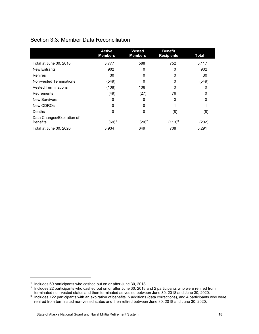## <span id="page-22-0"></span>Section 3.3: Member Data Reconciliation

|                                               | <b>Active</b><br><b>Members</b> | <b>Vested</b><br><b>Members</b> | <b>Benefit</b><br><b>Recipients</b> | <b>Total</b> |
|-----------------------------------------------|---------------------------------|---------------------------------|-------------------------------------|--------------|
| Total at June 30, 2018                        | 3,777                           | 588                             | 752                                 | 5,117        |
| <b>New Entrants</b>                           | 902                             | 0                               | 0                                   | 902          |
| <b>Rehires</b>                                | 30                              | 0                               | 0                                   | 30           |
| Non-vested Terminations                       | (549)                           | 0                               | 0                                   | (549)        |
| <b>Vested Terminations</b>                    | (108)                           | 108                             | 0                                   | 0            |
| <b>Retirements</b>                            | (49)                            | (27)                            | 76                                  | 0            |
| <b>New Survivors</b>                          | 0                               | 0                               | 0                                   | O            |
| New QDROs                                     | 0                               | 0                               |                                     |              |
| Deaths                                        | 0                               | 0                               | (8)                                 | (8)          |
| Data Changes/Expiration of<br><b>Benefits</b> | $(69)^1$                        | $(20)^2$                        | $(113)^3$                           | (202)        |
| Total at June 30, 2020                        | 3,934                           | 649                             | 708                                 | 5,291        |

j

<span id="page-22-1"></span><sup>&</sup>lt;sup>1</sup> Includes 69 participants who cashed out on or after June 30, 2018.

<span id="page-22-2"></span><sup>&</sup>lt;sup>2</sup> Includes 22 participants who cashed out on or after June 30, 2018 and 2 participants who were rehired from terminated non-vested status and then terminated as vested between June 30, 2018 and June 30, 2020.

<span id="page-22-3"></span><sup>&</sup>lt;sup>3</sup> Includes 122 participants with an expiration of benefits, 5 additions (data corrections), and 4 participants who were rehired from terminated non-vested status and then retired between June 30, 2018 and June 30, 2020.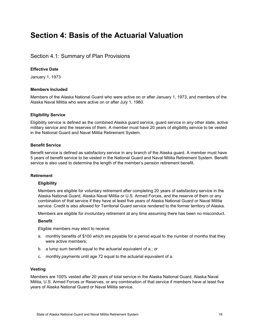# <span id="page-23-0"></span>**Section 4: Basis of the Actuarial Valuation**

## <span id="page-23-1"></span>Section 4.1: Summary of Plan Provisions

## **Effective Date**

January 1, 1973

## **Members Included**

Members of the Alaska National Guard who were active on or after January 1, 1973, and members of the Alaska Naval Militia who were active on or after July 1, 1980.

## **Eligibility Service**

Eligibility service is defined as the combined Alaska guard service, guard service in any other state, active military service and the reserves of them. A member must have 20 years of eligibility service to be vested in the National Guard and Naval Militia Retirement System.

## **Benefit Service**

Benefit service is defined as satisfactory service in any branch of the Alaska guard. A member must have 5 years of benefit service to be vested in the National Guard and Naval Militia Retirement System. Benefit service is also used to determine the length of the member's pension retirement benefit.

## **Retirement**

## **Eligibility**

Members are eligible for voluntary retirement after completing 20 years of satisfactory service in the Alaska National Guard, Alaska Naval Militia or U.S. Armed Forces, and the reserve of them or any combination of that service if they have at least five years of Alaska National Guard or Naval Militia service. Credit is also allowed for Territorial Guard service rendered to the former territory of Alaska.

Members are eligible for involuntary retirement at any time assuming there has been no misconduct.

## **Benefit**

Eligible members may elect to receive:

- a. monthly benefits of \$100 which are payable for a period equal to the number of months that they were active members;
- b. a lump sum benefit equal to the actuarial equivalent of a.; or
- c. monthly payments until age 72 equal to the actuarial equivalent of a.

## **Vesting**

Members are 100% vested after 20 years of total service in the Alaska National Guard, Alaska Naval Militia, U.S. Armed Forces or Reserves, or any combination of that service if members have at least five years of Alaska National Guard or Naval Militia service.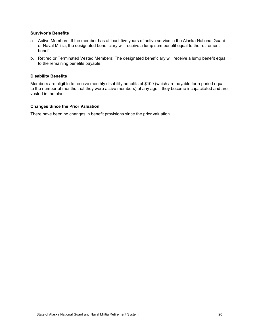## **Survivor's Benefits**

- a. Active Members: If the member has at least five years of active service in the Alaska National Guard or Naval Militia, the designated beneficiary will receive a lump sum benefit equal to the retirement benefit.
- b. Retired or Terminated Vested Members: The designated beneficiary will receive a lump benefit equal to the remaining benefits payable.

#### **Disability Benefits**

Members are eligible to receive monthly disability benefits of \$100 (which are payable for a period equal to the number of months that they were active members) at any age if they become incapacitated and are vested in the plan.

#### **Changes Since the Prior Valuation**

There have been no changes in benefit provisions since the prior valuation.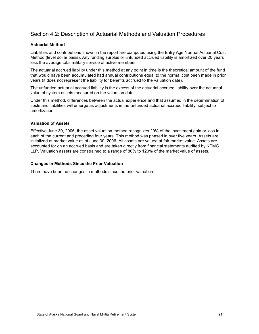## <span id="page-25-0"></span>Section 4.2: Description of Actuarial Methods and Valuation Procedures

## **Actuarial Method**

Liabilities and contributions shown in the report are computed using the Entry Age Normal Actuarial Cost Method (level dollar basis). Any funding surplus or unfunded accrued liability is amortized over 20 years less the average total military service of active members.

The actuarial accrued liability under this method at any point in time is the theoretical amount of the fund that would have been accumulated had annual contributions equal to the normal cost been made in prior years (it does not represent the liability for benefits accrued to the valuation date).

The unfunded actuarial accrued liability is the excess of the actuarial accrued liability over the actuarial value of system assets measured on the valuation date.

Under this method, differences between the actual experience and that assumed in the determination of costs and liabilities will emerge as adjustments in the unfunded actuarial accrued liability, subject to amortization.

## **Valuation of Assets**

Effective June 30, 2006, the asset valuation method recognizes 20% of the investment gain or loss in each of the current and preceding four years. This method was phased in over five years. Assets are initialized at market value as of June 30, 2006. All assets are valued at fair market value. Assets are accounted for on an accrued basis and are taken directly from financial statements audited by KPMG LLP. Valuation assets are constrained to a range of 80% to 120% of the market value of assets.

#### **Changes in Methods Since the Prior Valuation**

There have been no changes in methods since the prior valuation.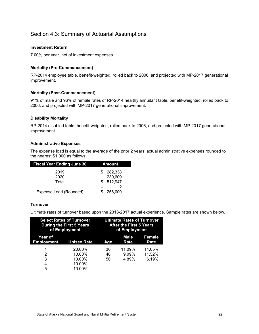## <span id="page-26-0"></span>Section 4.3: Summary of Actuarial Assumptions

## **Investment Return**

7.00% per year, net of investment expenses.

## **Mortality (Pre-Commencement)**

RP-2014 employee table, benefit-weighted, rolled back to 2006, and projected with MP-2017 generational improvement.

## **Mortality (Post-Commencement)**

91% of male and 96% of female rates of RP-2014 healthy annuitant table, benefit-weighted, rolled back to 2006, and projected with MP-2017 generational improvement.

## **Disability Mortality**

RP-2014 disabled table, benefit-weighted, rolled back to 2006, and projected with MP-2017 generational improvement.

## **Administrative Expenses**

The expense load is equal to the average of the prior 2 years' actual administrative expenses rounded to the nearest \$1,000 as follows:

| <b>Fiscal Year Ending June 30</b> | Amount        |
|-----------------------------------|---------------|
| 2019                              | 282.338       |
| 2020                              | 230,609       |
| Total                             | 512,947<br>\$ |
|                                   |               |
| Expense Load (Rounded)            | 256,000       |

## **Turnover**

Ultimate rates of turnover based upon the 2013-2017 actual experience. Sample rates are shown below.

|                              | <b>Select Rates of Turnover</b><br><b>During the First 5 Years</b><br>of Employment |          | <b>Ultimate Rates of Turnover</b><br><b>After the First 5 Years</b><br>of Employment |                  |
|------------------------------|-------------------------------------------------------------------------------------|----------|--------------------------------------------------------------------------------------|------------------|
| Year of<br><b>Employment</b> | <b>Unisex Rate</b>                                                                  | Aqe      | Male<br>Rate                                                                         | Female<br>Rate   |
| 1<br>2                       | 20.00%<br>10.00%                                                                    | 30<br>40 | 11.09%<br>9.09%                                                                      | 14.05%<br>11.52% |
| 3                            | 10.00%                                                                              | 50       | 4.89%                                                                                | 6.19%            |
| 4                            | 10.00%                                                                              |          |                                                                                      |                  |
| 5                            | 10.00%                                                                              |          |                                                                                      |                  |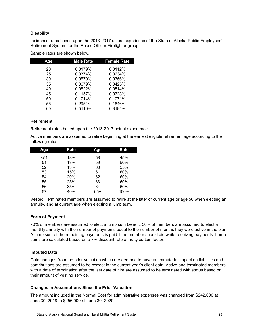## **Disability**

Incidence rates based upon the 2013-2017 actual experience of the State of Alaska Public Employees' Retirement System for the Peace Officer/Firefighter group.

| Aqe | <b>Male Rate</b> | <b>Female Rate</b> |
|-----|------------------|--------------------|
| 20  | 0.0179%          | 0.0112%            |
| 25  | 0.0374%          | 0.0234%            |
| 30  | 0.0570%          | 0.0356%            |
| 35  | 0.0679%          | 0.0425%            |
| 40  | 0.0822%          | 0.0514%            |
| 45  | 0.1157%          | 0.0723%            |
| 50  | 0.1714%          | 0.1071%            |
| 55  | 0.2954%          | 0.1846%            |
| 60  | 0.5110%          | 0.3194%            |

Sample rates are shown below.

## **Retirement**

Retirement rates based upon the 2013-2017 actual experience.

Active members are assumed to retire beginning at the earliest eligible retirement age according to the following rates:

| Age  | Rate | <b>Age</b> | Rate |
|------|------|------------|------|
| $51$ | 13%  | 58         | 45%  |
| 51   | 13%  | 59         | 50%  |
| 52   | 13%  | 60         | 55%  |
| 53   | 15%  | 61         | 60%  |
| 54   | 20%  | 62         | 60%  |
| 55   | 25%  | 63         | 60%  |
| 56   | 35%  | 64         | 60%  |
| 57   | 40%  | 65+        | 100% |

Vested Terminated members are assumed to retire at the later of current age or age 50 when electing an annuity, and at current age when electing a lump sum.

## **Form of Payment**

70% of members are assumed to elect a lump sum benefit. 30% of members are assumed to elect a monthly annuity with the number of payments equal to the number of months they were active in the plan. A lump sum of the remaining payments is paid if the member should die while receiving payments. Lump sums are calculated based on a 7% discount rate annuity certain factor.

## **Imputed Data**

Data changes from the prior valuation which are deemed to have an immaterial impact on liabilities and contributions are assumed to be correct in the current year's client data. Active and terminated members with a date of termination after the last date of hire are assumed to be terminated with status based on their amount of vesting service.

## **Changes in Assumptions Since the Prior Valuation**

The amount included in the Normal Cost for administrative expenses was changed from \$242,000 at June 30, 2018 to \$256,000 at June 30, 2020.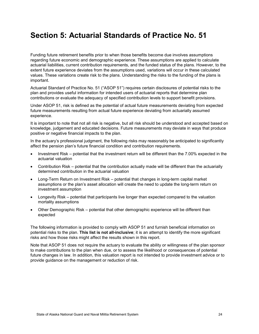# <span id="page-28-0"></span>**Section 5: Actuarial Standards of Practice No. 51**

Funding future retirement benefits prior to when those benefits become due involves assumptions regarding future economic and demographic experience. These assumptions are applied to calculate actuarial liabilities, current contribution requirements, and the funded status of the plans. However, to the extent future experience deviates from the assumptions used, variations will occur in these calculated values. These variations create risk to the plans. Understanding the risks to the funding of the plans is important.

Actuarial Standard of Practice No. 51 ("ASOP 51") requires certain disclosures of potential risks to the plan and provides useful information for intended users of actuarial reports that determine plan contributions or evaluate the adequacy of specified contribution levels to support benefit provisions.

Under ASOP 51, risk is defined as the potential of actual future measurements deviating from expected future measurements resulting from actual future experience deviating from actuarially assumed experience.

It is important to note that not all risk is negative, but all risk should be understood and accepted based on knowledge, judgement and educated decisions. Future measurements may deviate in ways that produce positive or negative financial impacts to the plan.

In the actuary's professional judgment, the following risks may reasonably be anticipated to significantly affect the pension plan's future financial condition and contribution requirements.

- Investment Risk potential that the investment return will be different than the 7.00% expected in the actuarial valuation
- Contribution Risk potential that the contribution actually made will be different than the actuarially determined contribution in the actuarial valuation
- Long-Term Return on Investment Risk potential that changes in long-term capital market assumptions or the plan's asset allocation will create the need to update the long-term return on investment assumption
- Longevity Risk potential that participants live longer than expected compared to the valuation mortality assumptions
- Other Demographic Risk potential that other demographic experience will be different than expected

The following information is provided to comply with ASOP 51 and furnish beneficial information on potential risks to the plan. **This list is not all-inclusive**; it is an attempt to identify the more significant risks and how those risks might affect the results shown in this report.

Note that ASOP 51 does not require the actuary to evaluate the ability or willingness of the plan sponsor to make contributions to the plan when due, or to assess the likelihood or consequences of potential future changes in law. In addition, this valuation report is not intended to provide investment advice or to provide guidance on the management or reduction of risk.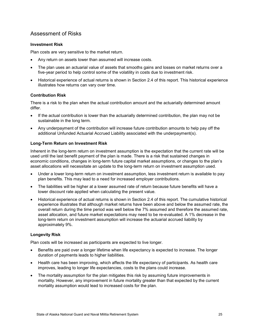## Assessment of Risks

## **Investment Risk**

Plan costs are very sensitive to the market return.

- Any return on assets lower than assumed will increase costs.
- The plan uses an actuarial value of assets that smooths gains and losses on market returns over a five-year period to help control some of the volatility in costs due to investment risk.
- Historical experience of actual returns is shown in Section 2.4 of this report. This historical experience illustrates how returns can vary over time.

## **Contribution Risk**

There is a risk to the plan when the actual contribution amount and the actuarially determined amount differ.

- If the actual contribution is lower than the actuarially determined contribution, the plan may not be sustainable in the long term.
- Any underpayment of the contribution will increase future contribution amounts to help pay off the additional Unfunded Actuarial Accrued Liability associated with the underpayment(s).

## **Long-Term Return on Investment Risk**

Inherent in the long-term return on investment assumption is the expectation that the current rate will be used until the last benefit payment of the plan is made. There is a risk that sustained changes in economic conditions, changes in long-term future capital market assumptions, or changes to the plan's asset allocations will necessitate an update to the long-term return on investment assumption used.

- Under a lower long-term return on investment assumption, less investment return is available to pay plan benefits. This may lead to a need for increased employer contributions.
- The liabilities will be higher at a lower assumed rate of return because future benefits will have a lower discount rate applied when calculating the present value.
- Historical experience of actual returns is shown in Section 2.4 of this report. The cumulative historical experience illustrates that although market returns have been above and below the assumed rate, the overall return during the time period was well below the 7% assumed and therefore the assumed rate, asset allocation, and future market expectations may need to be re-evaluated. A 1% decrease in the long-term return on investment assumption will increase the actuarial accrued liability by approximately 9%.

## **Longevity Risk**

Plan costs will be increased as participants are expected to live longer.

- Benefits are paid over a longer lifetime when life expectancy is expected to increase. The longer duration of payments leads to higher liabilities.
- Health care has been improving, which affects the life expectancy of participants. As health care improves, leading to longer life expectancies, costs to the plans could increase.
- The mortality assumption for the plan mitigates this risk by assuming future improvements in mortality. However, any improvement in future mortality greater than that expected by the current mortality assumption would lead to increased costs for the plan.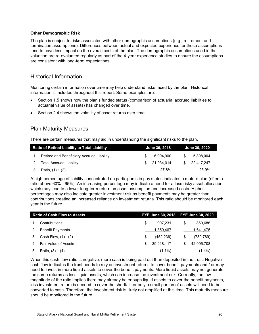## **Other Demographic Risk**

The plan is subject to risks associated with other demographic assumptions (e.g., retirement and termination assumptions). Differences between actual and expected experience for these assumptions tend to have less impact on the overall costs of the plan. The demographic assumptions used in the valuation are re-evaluated regularly as part of the 4-year experience studies to ensure the assumptions are consistent with long-term expectations.

## Historical Information

Monitoring certain information over time may help understand risks faced by the plan. Historical information is included throughout this report. Some examples are:

- Section 1.5 shows how the plan's funded status (comparison of actuarial accrued liabilities to actuarial value of assets) has changed over time.
- Section 2.4 shows the volatility of asset returns over time.

## Plan Maturity Measures

There are certain measures that may aid in understanding the significant risks to the plan.

| <b>Ratio of Retired Liability to Total Liability</b> | June 30, 2018 | <b>June 30, 2020</b> |              |  |
|------------------------------------------------------|---------------|----------------------|--------------|--|
| 1. Retiree and Beneficiary Accrued Liability         | 6.094.900     | -SG                  | 5.808.004    |  |
| 2. Total Accrued Liability                           | \$21.934.014  |                      | \$22.417.247 |  |
| 3. Ratio, $(1) \div (2)$                             | 27.8%         |                      | 25.9%        |  |

A high percentage of liability concentrated on participants in pay status indicates a mature plan (often a ratio above 60% - 65%). An increasing percentage may indicate a need for a less risky asset allocation, which may lead to a lower long-term return on asset assumption and increased costs. Higher percentages may also indicate greater investment risk as benefit payments may be greater than contributions creating an increased reliance on investment returns. This ratio should be monitored each year in the future.

|    | <b>Ratio of Cash Flow to Assets</b> | FYE June 30, 2018 FYE June 30, 2020 |   |            |
|----|-------------------------------------|-------------------------------------|---|------------|
|    | Contributions                       | \$<br>907.231                       | S | 860.686    |
| 2. | <b>Benefit Payments</b>             | 1,359,467                           |   | 1.641,475  |
| 3. | Cash Flow, (1) - (2)                | \$<br>(452, 236)                    | S | (780, 789) |
| 4. | <b>Fair Value of Assets</b>         | \$<br>39.418.117                    | S | 42,095,708 |
| 5. | Ratio, $(3) \div (4)$               | $(1.1\%)$                           |   | $(1.9\%)$  |

When this cash flow ratio is negative, more cash is being paid out than deposited in the trust. Negative cash flow indicates the trust needs to rely on investment returns to cover benefit payments and / or may need to invest in more liquid assets to cover the benefit payments. More liquid assets may not generate the same returns as less liquid assets, which can increase the investment risk. Currently, the low magnitude of the ratio implies there may already be enough liquid assets to cover the benefit payments, less investment return is needed to cover the shortfall, or only a small portion of assets will need to be converted to cash. Therefore, the investment risk is likely not amplified at this time. This maturity measure should be monitored in the future.